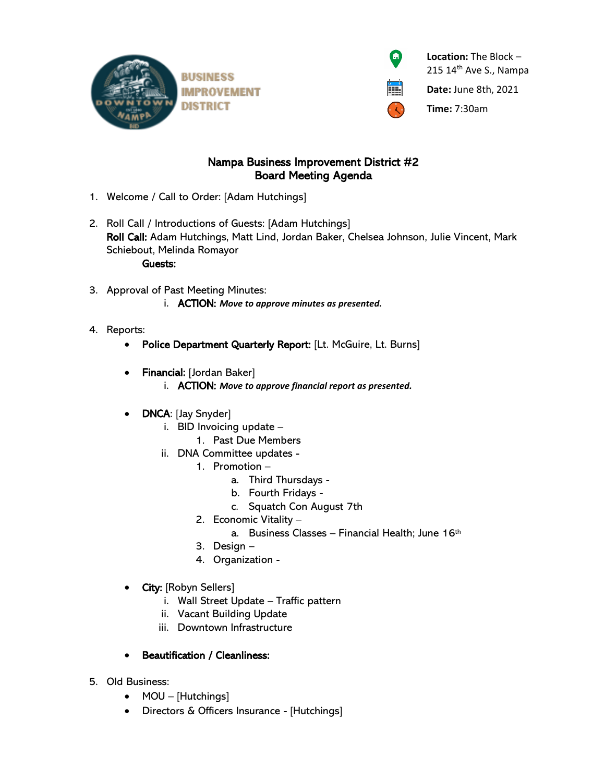



 **Location:** The Block – 215 14<sup>th</sup> Ave S., Nampa

**Date:** June 8th, 2021

**Time:** 7:30am

## Nampa Business Improvement District #2 Board Meeting Agenda

- 1. Welcome / Call to Order: [Adam Hutchings]
- 2. Roll Call / Introductions of Guests: [Adam Hutchings] Roll Call: Adam Hutchings, Matt Lind, Jordan Baker, Chelsea Johnson, Julie Vincent, Mark Schiebout, Melinda Romayor Guests:
- 3. Approval of Past Meeting Minutes: i. ACTION: *Move to approve minutes as presented.*
- 4. Reports:
	- Police Department Quarterly Report: [Lt. McGuire, Lt. Burns]
	- Financial: [Jordan Baker]
		- i. ACTION: *Move to approve financial report as presented.*
	- **DNCA**: [Jay Snyder]
		- i. BID Invoicing update
			- 1. Past Due Members
		- ii. DNA Committee updates
			- 1. Promotion
				- a. Third Thursdays -
				- b. Fourth Fridays -
				- c. Squatch Con August 7th
			- 2. Economic Vitality
				- a. Business Classes Financial Health; June 16th
			- 3. Design –
			- 4. Organization -
	- City: [Robyn Sellers]
		- i. Wall Street Update Traffic pattern
		- ii. Vacant Building Update
		- iii. Downtown Infrastructure

## • Beautification / Cleanliness:

- 5. Old Business:
	- MOU [Hutchings]
	- Directors & Officers Insurance [Hutchings]